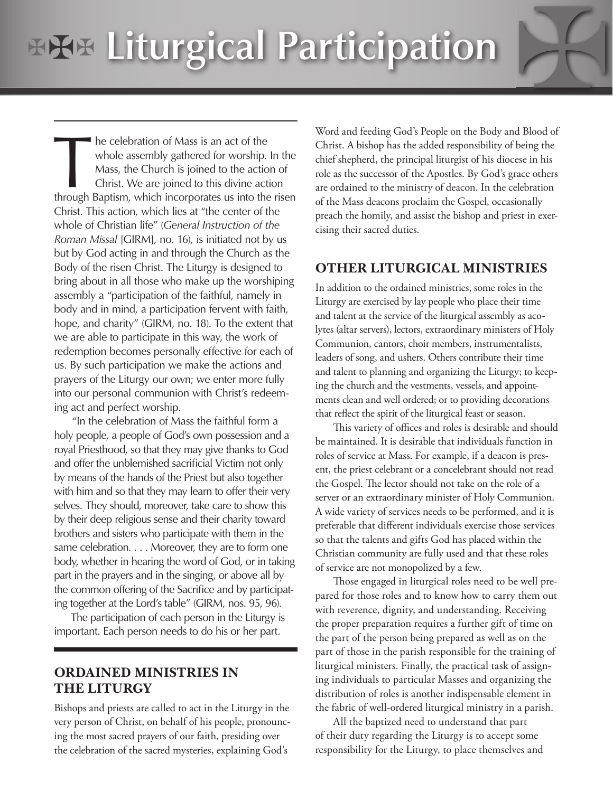# **Liturgical Participation**

The celebration of Mass is an act of the whole assembly gathered for worship. In the Mass, the Church is joined to the action of Christ. We are joined to this divine action through Baptism, which incorporates us into the r whole assembly gathered for worship. In the Mass, the Church is joined to the action of Christ. We are joined to this divine action Christ. This action, which lies at "the center of the whole of Christian life" (*General Instruction of the Roman Missal* [GIRM], no. 16), is initiated not by us but by God acting in and through the Church as the Body of the risen Christ. The Liturgy is designed to bring about in all those who make up the worshiping assembly a "participation of the faithful, namely in body and in mind, a participation fervent with faith, hope, and charity" (GIRM, no. 18). To the extent that we are able to participate in this way, the work of redemption becomes personally effective for each of us. By such participation we make the actions and prayers of the Liturgy our own; we enter more fully into our personal communion with Christ's redeeming act and perfect worship.

"In the celebration of Mass the faithful form a holy people, a people of God's own possession and a royal Priesthood, so that they may give thanks to God and offer the unblemished sacrificial Victim not only by means of the hands of the Priest but also together with him and so that they may learn to offer their very selves. They should, moreover, take care to show this by their deep religious sense and their charity toward brothers and sisters who participate with them in the same celebration. . . . Moreover, they are to form one body, whether in hearing the word of God, or in taking part in the prayers and in the singing, or above all by the common offering of the Sacrifice and by participating together at the Lord's table" (GIRM, nos. 95, 96).

 The participation of each person in the Liturgy is important. Each person needs to do his or her part.

### **oRdaiNed MiNiSTRieS iN The liTURGY**

Bishops and priests are called to act in the Liturgy in the very person of Christ, on behalf of his people, pronouncing the most sacred prayers of our faith, presiding over the celebration of the sacred mysteries, explaining God's

Word and feeding God's People on the Body and Blood of Christ. A bishop has the added responsibility of being the chief shepherd, the principal liturgist of his diocese in his role as the successor of the Apostles. By God's grace others are ordained to the ministry of deacon. In the celebration of the Mass deacons proclaim the Gospel, occasionally preach the homily, and assist the bishop and priest in exercising their sacred duties.

#### **oTheR liTURGiCal MiNiSTRieS**

In addition to the ordained ministries, some roles in the Liturgy are exercised by lay people who place their time and talent at the service of the liturgical assembly as acolytes (altar servers), lectors, extraordinary ministers of Holy Communion, cantors, choir members, instrumentalists, leaders of song, and ushers. Others contribute their time and talent to planning and organizing the Liturgy; to keeping the church and the vestments, vessels, and appointments clean and well ordered; or to providing decorations that reflect the spirit of the liturgical feast or season.

This variety of offices and roles is desirable and should be maintained. It is desirable that individuals function in roles of service at Mass. For example, if a deacon is present, the priest celebrant or a concelebrant should not read the Gospel. The lector should not take on the role of a server or an extraordinary minister of Holy Communion. A wide variety of services needs to be performed, and it is preferable that different individuals exercise those services so that the talents and gifts God has placed within the Christian community are fully used and that these roles of service are not monopolized by a few.

Those engaged in liturgical roles need to be well prepared for those roles and to know how to carry them out with reverence, dignity, and understanding. Receiving the proper preparation requires a further gift of time on the part of the person being prepared as well as on the part of those in the parish responsible for the training of liturgical ministers. Finally, the practical task of assigning individuals to particular Masses and organizing the distribution of roles is another indispensable element in the fabric of well-ordered liturgical ministry in a parish.

All the baptized need to understand that part of their duty regarding the Liturgy is to accept some responsibility for the Liturgy, to place themselves and